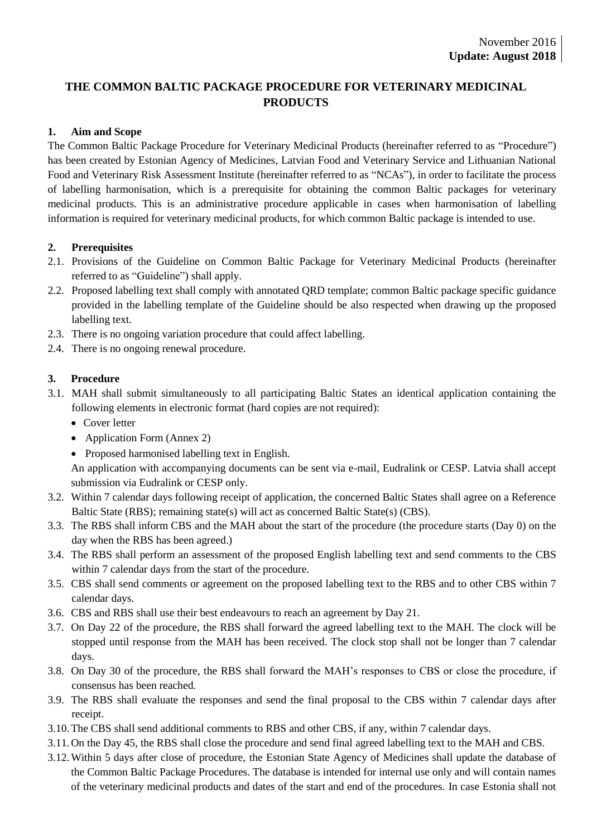## **THE COMMON BALTIC PACKAGE PROCEDURE FOR VETERINARY MEDICINAL PRODUCTS**

### **1. Aim and Scope**

The Common Baltic Package Procedure for Veterinary Medicinal Products (hereinafter referred to as "Procedure") has been created by Estonian Agency of Medicines, Latvian Food and Veterinary Service and Lithuanian National Food and Veterinary Risk Assessment Institute (hereinafter referred to as "NCAs"), in order to facilitate the process of labelling harmonisation, which is a prerequisite for obtaining the common Baltic packages for veterinary medicinal products. This is an administrative procedure applicable in cases when harmonisation of labelling information is required for veterinary medicinal products, for which common Baltic package is intended to use.

### **2. Prerequisites**

- 2.1. Provisions of the Guideline on Common Baltic Package for Veterinary Medicinal Products (hereinafter referred to as "Guideline") shall apply.
- 2.2. Proposed labelling text shall comply with annotated QRD template; common Baltic package specific guidance provided in the labelling template of the Guideline should be also respected when drawing up the proposed labelling text.
- 2.3. There is no ongoing variation procedure that could affect labelling.
- 2.4. There is no ongoing renewal procedure.

### **3. Procedure**

- 3.1. MAH shall submit simultaneously to all participating Baltic States an identical application containing the following elements in electronic format (hard copies are not required):
	- Cover letter
	- Application Form (Annex 2)
	- Proposed harmonised labelling text in English.

An application with accompanying documents can be sent via e-mail, Eudralink or CESP. Latvia shall accept submission via Eudralink or CESP only.

- 3.2. Within 7 calendar days following receipt of application, the concerned Baltic States shall agree on a Reference Baltic State (RBS); remaining state(s) will act as concerned Baltic State(s) (CBS).
- 3.3. The RBS shall inform CBS and the MAH about the start of the procedure (the procedure starts (Day 0) on the day when the RBS has been agreed.)
- 3.4. The RBS shall perform an assessment of the proposed English labelling text and send comments to the CBS within 7 calendar days from the start of the procedure.
- 3.5. CBS shall send comments or agreement on the proposed labelling text to the RBS and to other CBS within 7 calendar days.
- 3.6. CBS and RBS shall use their best endeavours to reach an agreement by Day 21.
- 3.7. On Day 22 of the procedure, the RBS shall forward the agreed labelling text to the MAH. The clock will be stopped until response from the MAH has been received. The clock stop shall not be longer than 7 calendar days.
- 3.8. On Day 30 of the procedure, the RBS shall forward the MAH's responses to CBS or close the procedure, if consensus has been reached.
- 3.9. The RBS shall evaluate the responses and send the final proposal to the CBS within 7 calendar days after receipt.
- 3.10.The CBS shall send additional comments to RBS and other CBS, if any, within 7 calendar days.
- 3.11.On the Day 45, the RBS shall close the procedure and send final agreed labelling text to the MAH and CBS.
- 3.12.Within 5 days after close of procedure, the Estonian State Agency of Medicines shall update the database of the Common Baltic Package Procedures. The database is intended for internal use only and will contain names of the veterinary medicinal products and dates of the start and end of the procedures. In case Estonia shall not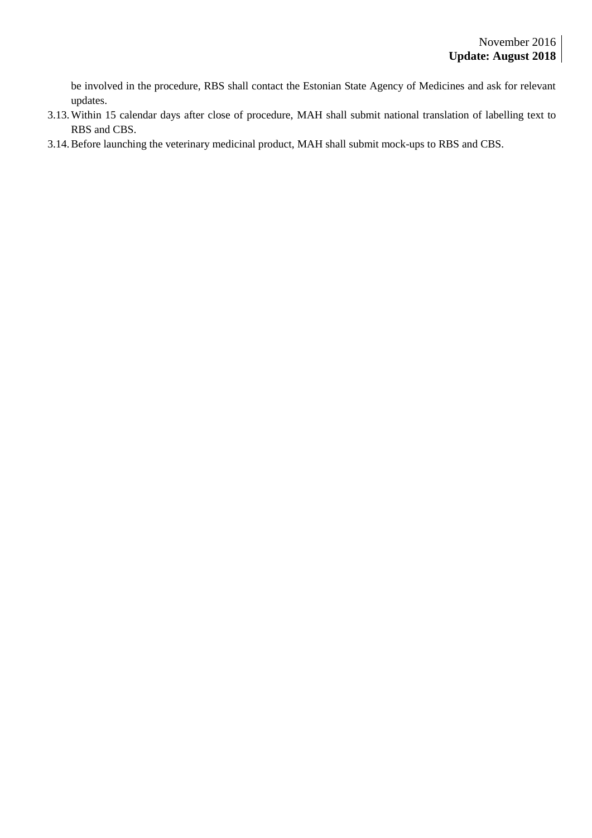be involved in the procedure, RBS shall contact the Estonian State Agency of Medicines and ask for relevant updates.

- 3.13.Within 15 calendar days after close of procedure, MAH shall submit national translation of labelling text to RBS and CBS.
- 3.14.Before launching the veterinary medicinal product, MAH shall submit mock-ups to RBS and CBS.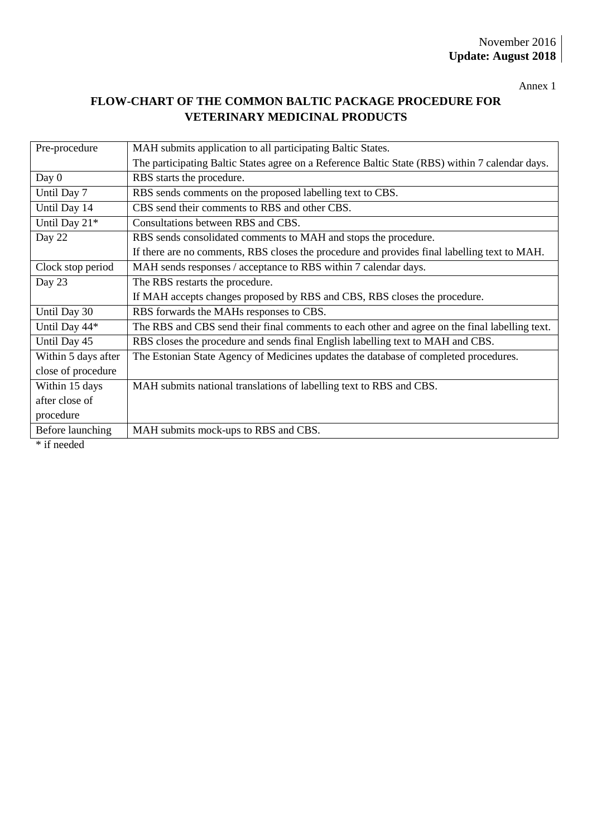Annex 1

# **FLOW-CHART OF THE COMMON BALTIC PACKAGE PROCEDURE FOR VETERINARY MEDICINAL PRODUCTS**

| Pre-procedure       | MAH submits application to all participating Baltic States.                                     |  |
|---------------------|-------------------------------------------------------------------------------------------------|--|
|                     | The participating Baltic States agree on a Reference Baltic State (RBS) within 7 calendar days. |  |
| Day $0$             | RBS starts the procedure.                                                                       |  |
| Until Day 7         | RBS sends comments on the proposed labelling text to CBS.                                       |  |
| Until Day 14        | CBS send their comments to RBS and other CBS.                                                   |  |
| Until Day 21*       | Consultations between RBS and CBS.                                                              |  |
| Day 22              | RBS sends consolidated comments to MAH and stops the procedure.                                 |  |
|                     | If there are no comments, RBS closes the procedure and provides final labelling text to MAH.    |  |
| Clock stop period   | MAH sends responses / acceptance to RBS within 7 calendar days.                                 |  |
| Day 23              | The RBS restarts the procedure.                                                                 |  |
|                     | If MAH accepts changes proposed by RBS and CBS, RBS closes the procedure.                       |  |
| Until Day 30        | RBS forwards the MAHs responses to CBS.                                                         |  |
| Until Day 44*       | The RBS and CBS send their final comments to each other and agree on the final labelling text.  |  |
| Until Day 45        | RBS closes the procedure and sends final English labelling text to MAH and CBS.                 |  |
| Within 5 days after | The Estonian State Agency of Medicines updates the database of completed procedures.            |  |
| close of procedure  |                                                                                                 |  |
| Within 15 days      | MAH submits national translations of labelling text to RBS and CBS.                             |  |
| after close of      |                                                                                                 |  |
| procedure           |                                                                                                 |  |
| Before launching    | MAH submits mock-ups to RBS and CBS.                                                            |  |
| * if needed         |                                                                                                 |  |